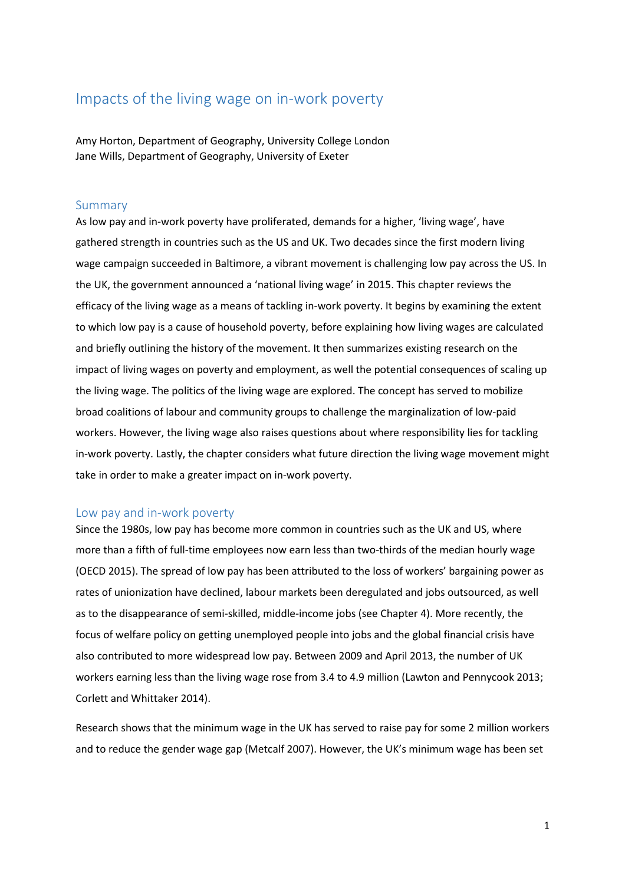# Impacts of the living wage on in-work poverty

Amy Horton, Department of Geography, University College London Jane Wills, Department of Geography, University of Exeter

### Summary

As low pay and in-work poverty have proliferated, demands for a higher, 'living wage', have gathered strength in countries such as the US and UK. Two decades since the first modern living wage campaign succeeded in Baltimore, a vibrant movement is challenging low pay across the US. In the UK, the government announced a 'national living wage' in 2015. This chapter reviews the efficacy of the living wage as a means of tackling in-work poverty. It begins by examining the extent to which low pay is a cause of household poverty, before explaining how living wages are calculated and briefly outlining the history of the movement. It then summarizes existing research on the impact of living wages on poverty and employment, as well the potential consequences of scaling up the living wage. The politics of the living wage are explored. The concept has served to mobilize broad coalitions of labour and community groups to challenge the marginalization of low-paid workers. However, the living wage also raises questions about where responsibility lies for tackling in-work poverty. Lastly, the chapter considers what future direction the living wage movement might take in order to make a greater impact on in-work poverty.

### Low pay and in-work poverty

Since the 1980s, low pay has become more common in countries such as the UK and US, where more than a fifth of full-time employees now earn less than two-thirds of the median hourly wage (OECD 2015). The spread of low pay has been attributed to the loss of workers' bargaining power as rates of unionization have declined, labour markets been deregulated and jobs outsourced, as well as to the disappearance of semi-skilled, middle-income jobs (see Chapter 4). More recently, the focus of welfare policy on getting unemployed people into jobs and the global financial crisis have also contributed to more widespread low pay. Between 2009 and April 2013, the number of UK workers earning less than the living wage rose from 3.4 to 4.9 million (Lawton and Pennycook 2013; Corlett and Whittaker 2014).

Research shows that the minimum wage in the UK has served to raise pay for some 2 million workers and to reduce the gender wage gap (Metcalf 2007). However, the UK's minimum wage has been set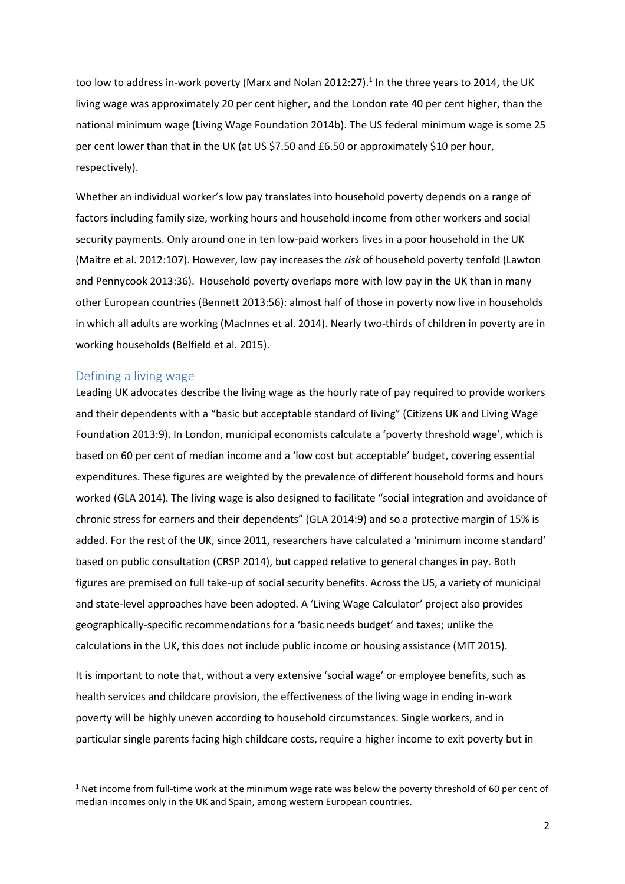too low to address in-work poverty (Marx and Nolan 2012:27).<sup>1</sup> In the three years to 2014, the UK living wage was approximately 20 per cent higher, and the London rate 40 per cent higher, than the national minimum wage (Living Wage Foundation 2014b). The US federal minimum wage is some 25 per cent lower than that in the UK (at US \$7.50 and £6.50 or approximately \$10 per hour, respectively).

Whether an individual worker's low pay translates into household poverty depends on a range of factors including family size, working hours and household income from other workers and social security payments. Only around one in ten low-paid workers lives in a poor household in the UK (Maitre et al. 2012:107). However, low pay increases the *risk* of household poverty tenfold (Lawton and Pennycook 2013:36). Household poverty overlaps more with low pay in the UK than in many other European countries (Bennett 2013:56): almost half of those in poverty now live in households in which all adults are working (MacInnes et al. 2014). Nearly two-thirds of children in poverty are in working households (Belfield et al. 2015).

### Defining a living wage

Leading UK advocates describe the living wage as the hourly rate of pay required to provide workers and their dependents with a "basic but acceptable standard of living" (Citizens UK and Living Wage Foundation 2013:9). In London, municipal economists calculate a 'poverty threshold wage', which is based on 60 per cent of median income and a 'low cost but acceptable' budget, covering essential expenditures. These figures are weighted by the prevalence of different household forms and hours worked (GLA 2014). The living wage is also designed to facilitate "social integration and avoidance of chronic stress for earners and their dependents" (GLA 2014:9) and so a protective margin of 15% is added. For the rest of the UK, since 2011, researchers have calculated a 'minimum income standard' based on public consultation (CRSP 2014), but capped relative to general changes in pay. Both figures are premised on full take-up of social security benefits. Across the US, a variety of municipal and state-level approaches have been adopted. A 'Living Wage Calculator' project also provides geographically-specific recommendations for a 'basic needs budget' and taxes; unlike the calculations in the UK, this does not include public income or housing assistance (MIT 2015).

It is important to note that, without a very extensive 'social wage' or employee benefits, such as health services and childcare provision, the effectiveness of the living wage in ending in-work poverty will be highly uneven according to household circumstances. Single workers, and in particular single parents facing high childcare costs, require a higher income to exit poverty but in

 $1$  Net income from full-time work at the minimum wage rate was below the poverty threshold of 60 per cent of median incomes only in the UK and Spain, among western European countries.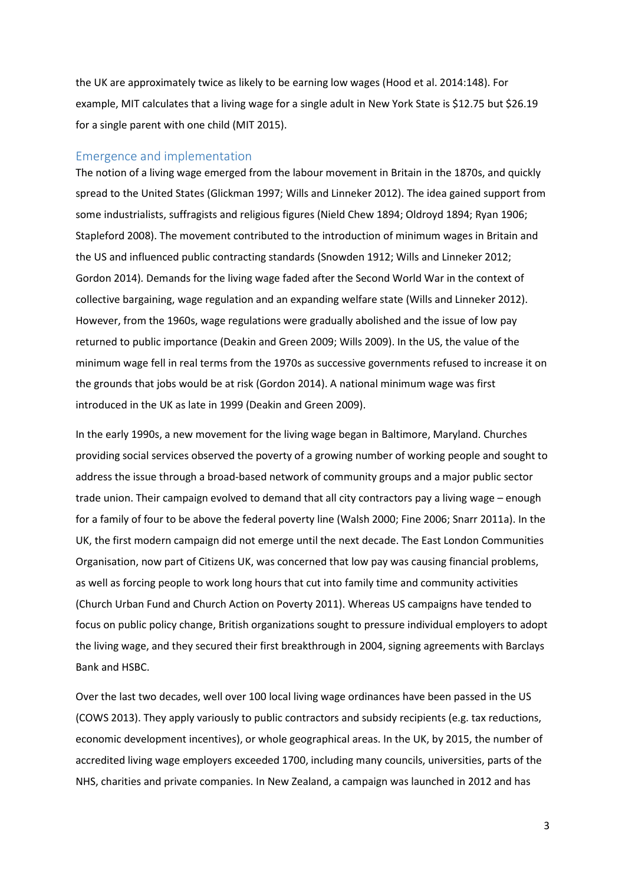the UK are approximately twice as likely to be earning low wages (Hood et al. 2014:148). For example, MIT calculates that a living wage for a single adult in New York State is \$12.75 but \$26.19 for a single parent with one child (MIT 2015).

### Emergence and implementation

The notion of a living wage emerged from the labour movement in Britain in the 1870s, and quickly spread to the United States (Glickman 1997; Wills and Linneker 2012). The idea gained support from some industrialists, suffragists and religious figures (Nield Chew 1894; Oldroyd 1894; Ryan 1906; Stapleford 2008). The movement contributed to the introduction of minimum wages in Britain and the US and influenced public contracting standards (Snowden 1912; Wills and Linneker 2012; Gordon 2014)*.* Demands for the living wage faded after the Second World War in the context of collective bargaining, wage regulation and an expanding welfare state (Wills and Linneker 2012). However, from the 1960s, wage regulations were gradually abolished and the issue of low pay returned to public importance (Deakin and Green 2009; Wills 2009). In the US, the value of the minimum wage fell in real terms from the 1970s as successive governments refused to increase it on the grounds that jobs would be at risk (Gordon 2014). A national minimum wage was first introduced in the UK as late in 1999 (Deakin and Green 2009).

In the early 1990s, a new movement for the living wage began in Baltimore, Maryland. Churches providing social services observed the poverty of a growing number of working people and sought to address the issue through a broad-based network of community groups and a major public sector trade union. Their campaign evolved to demand that all city contractors pay a living wage – enough for a family of four to be above the federal poverty line (Walsh 2000; Fine 2006; Snarr 2011a). In the UK, the first modern campaign did not emerge until the next decade. The East London Communities Organisation, now part of Citizens UK, was concerned that low pay was causing financial problems, as well as forcing people to work long hours that cut into family time and community activities (Church Urban Fund and Church Action on Poverty 2011). Whereas US campaigns have tended to focus on public policy change, British organizations sought to pressure individual employers to adopt the living wage, and they secured their first breakthrough in 2004, signing agreements with Barclays Bank and HSBC.

Over the last two decades, well over 100 local living wage ordinances have been passed in the US (COWS 2013). They apply variously to public contractors and subsidy recipients (e.g. tax reductions, economic development incentives), or whole geographical areas. In the UK, by 2015, the number of accredited living wage employers exceeded 1700, including many councils, universities, parts of the NHS, charities and private companies. In New Zealand, a campaign was launched in 2012 and has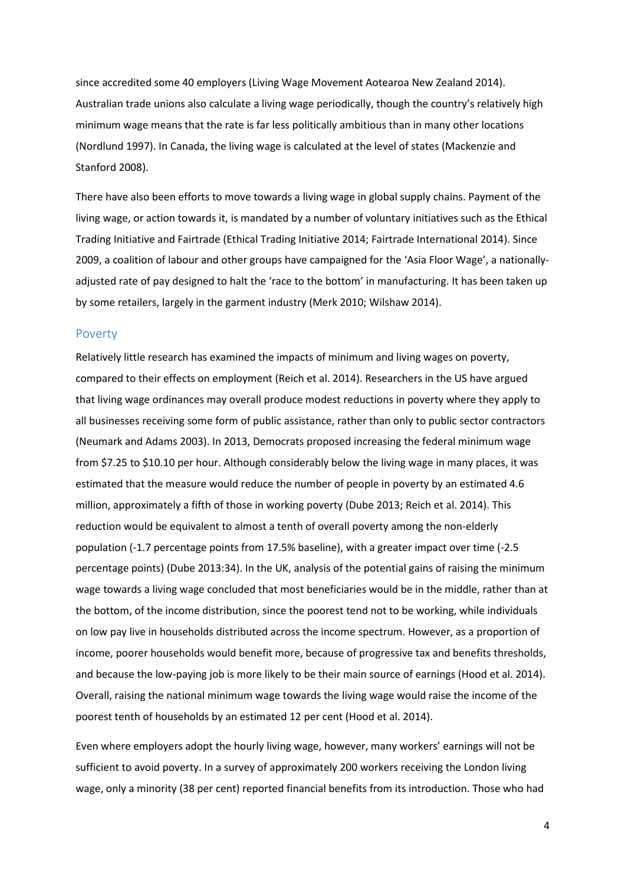since accredited some 40 employers (Living Wage Movement Aotearoa New Zealand 2014). Australian trade unions also calculate a living wage periodically, though the country's relatively high minimum wage means that the rate is far less politically ambitious than in many other locations (Nordlund 1997). In Canada, the living wage is calculated at the level of states (Mackenzie and Stanford 2008).

There have also been efforts to move towards a living wage in global supply chains. Payment of the living wage, or action towards it, is mandated by a number of voluntary initiatives such as the Ethical Trading Initiative and Fairtrade (Ethical Trading Initiative 2014; Fairtrade International 2014). Since 2009, a coalition of labour and other groups have campaigned for the 'Asia Floor Wage', a nationallyadjusted rate of pay designed to halt the 'race to the bottom' in manufacturing. It has been taken up by some retailers, largely in the garment industry (Merk 2010; Wilshaw 2014).

#### Poverty

Relatively little research has examined the impacts of minimum and living wages on poverty, compared to their effects on employment (Reich et al. 2014). Researchers in the US have argued that living wage ordinances may overall produce modest reductions in poverty where they apply to all businesses receiving some form of public assistance, rather than only to public sector contractors (Neumark and Adams 2003). In 2013, Democrats proposed increasing the federal minimum wage from \$7.25 to \$10.10 per hour. Although considerably below the living wage in many places, it was estimated that the measure would reduce the number of people in poverty by an estimated 4.6 million, approximately a fifth of those in working poverty (Dube 2013; Reich et al. 2014). This reduction would be equivalent to almost a tenth of overall poverty among the non-elderly population (-1.7 percentage points from 17.5% baseline), with a greater impact over time (-2.5 percentage points) (Dube 2013:34). In the UK, analysis of the potential gains of raising the minimum wage towards a living wage concluded that most beneficiaries would be in the middle, rather than at the bottom, of the income distribution, since the poorest tend not to be working, while individuals on low pay live in households distributed across the income spectrum. However, as a proportion of income, poorer households would benefit more, because of progressive tax and benefits thresholds, and because the low-paying job is more likely to be their main source of earnings (Hood et al. 2014). Overall, raising the national minimum wage towards the living wage would raise the income of the poorest tenth of households by an estimated 12 per cent (Hood et al. 2014).

Even where employers adopt the hourly living wage, however, many workers' earnings will not be sufficient to avoid poverty. In a survey of approximately 200 workers receiving the London living wage, only a minority (38 per cent) reported financial benefits from its introduction. Those who had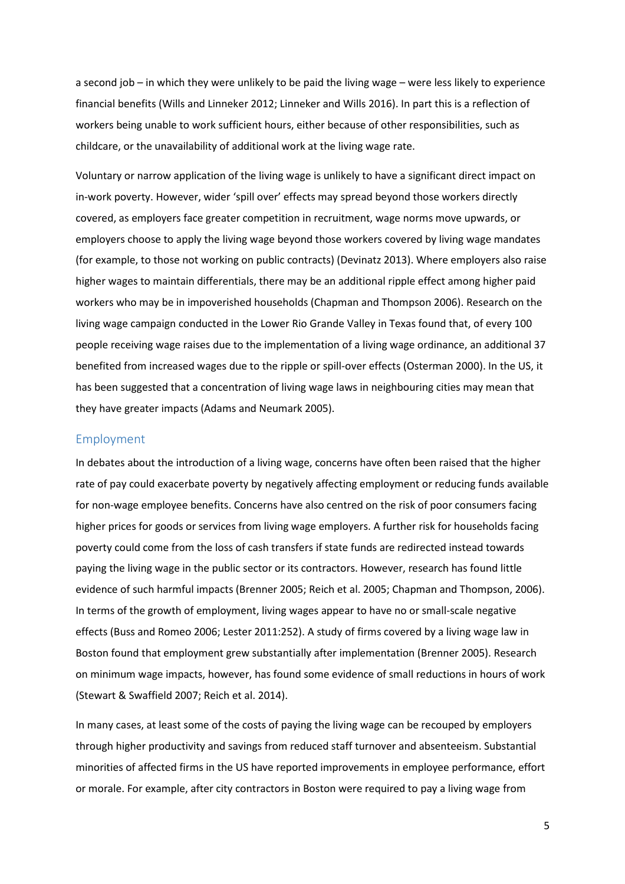a second job – in which they were unlikely to be paid the living wage – were less likely to experience financial benefits (Wills and Linneker 2012; Linneker and Wills 2016). In part this is a reflection of workers being unable to work sufficient hours, either because of other responsibilities, such as childcare, or the unavailability of additional work at the living wage rate.

Voluntary or narrow application of the living wage is unlikely to have a significant direct impact on in-work poverty. However, wider 'spill over' effects may spread beyond those workers directly covered, as employers face greater competition in recruitment, wage norms move upwards, or employers choose to apply the living wage beyond those workers covered by living wage mandates (for example, to those not working on public contracts) (Devinatz 2013). Where employers also raise higher wages to maintain differentials, there may be an additional ripple effect among higher paid workers who may be in impoverished households (Chapman and Thompson 2006). Research on the living wage campaign conducted in the Lower Rio Grande Valley in Texas found that, of every 100 people receiving wage raises due to the implementation of a living wage ordinance, an additional 37 benefited from increased wages due to the ripple or spill-over effects (Osterman 2000). In the US, it has been suggested that a concentration of living wage laws in neighbouring cities may mean that they have greater impacts (Adams and Neumark 2005).

## Employment

In debates about the introduction of a living wage, concerns have often been raised that the higher rate of pay could exacerbate poverty by negatively affecting employment or reducing funds available for non-wage employee benefits. Concerns have also centred on the risk of poor consumers facing higher prices for goods or services from living wage employers. A further risk for households facing poverty could come from the loss of cash transfers if state funds are redirected instead towards paying the living wage in the public sector or its contractors. However, research has found little evidence of such harmful impacts (Brenner 2005; Reich et al. 2005; Chapman and Thompson, 2006). In terms of the growth of employment, living wages appear to have no or small-scale negative effects (Buss and Romeo 2006; Lester 2011:252). A study of firms covered by a living wage law in Boston found that employment grew substantially after implementation (Brenner 2005). Research on minimum wage impacts, however, has found some evidence of small reductions in hours of work (Stewart & Swaffield 2007; Reich et al. 2014).

In many cases, at least some of the costs of paying the living wage can be recouped by employers through higher productivity and savings from reduced staff turnover and absenteeism. Substantial minorities of affected firms in the US have reported improvements in employee performance, effort or morale. For example, after city contractors in Boston were required to pay a living wage from

5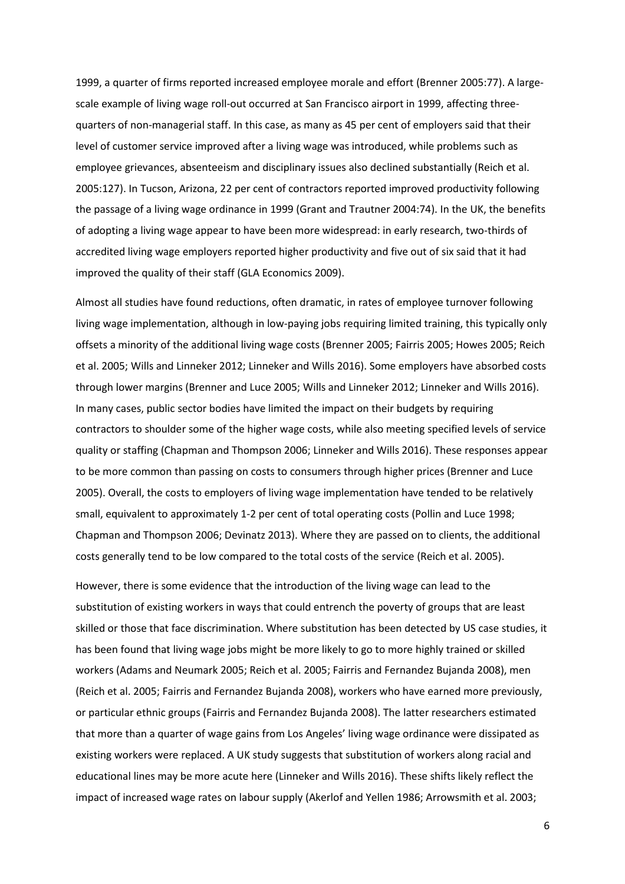1999, a quarter of firms reported increased employee morale and effort (Brenner 2005:77). A largescale example of living wage roll-out occurred at San Francisco airport in 1999, affecting threequarters of non-managerial staff. In this case, as many as 45 per cent of employers said that their level of customer service improved after a living wage was introduced, while problems such as employee grievances, absenteeism and disciplinary issues also declined substantially (Reich et al. 2005:127). In Tucson, Arizona, 22 per cent of contractors reported improved productivity following the passage of a living wage ordinance in 1999 (Grant and Trautner 2004:74). In the UK, the benefits of adopting a living wage appear to have been more widespread: in early research, two-thirds of accredited living wage employers reported higher productivity and five out of six said that it had improved the quality of their staff (GLA Economics 2009).

Almost all studies have found reductions, often dramatic, in rates of employee turnover following living wage implementation, although in low-paying jobs requiring limited training, this typically only offsets a minority of the additional living wage costs (Brenner 2005; Fairris 2005; Howes 2005; Reich et al. 2005; Wills and Linneker 2012; Linneker and Wills 2016). Some employers have absorbed costs through lower margins (Brenner and Luce 2005; Wills and Linneker 2012; Linneker and Wills 2016). In many cases, public sector bodies have limited the impact on their budgets by requiring contractors to shoulder some of the higher wage costs, while also meeting specified levels of service quality or staffing (Chapman and Thompson 2006; Linneker and Wills 2016). These responses appear to be more common than passing on costs to consumers through higher prices (Brenner and Luce 2005). Overall, the costs to employers of living wage implementation have tended to be relatively small, equivalent to approximately 1-2 per cent of total operating costs (Pollin and Luce 1998; Chapman and Thompson 2006; Devinatz 2013). Where they are passed on to clients, the additional costs generally tend to be low compared to the total costs of the service (Reich et al. 2005).

However, there is some evidence that the introduction of the living wage can lead to the substitution of existing workers in ways that could entrench the poverty of groups that are least skilled or those that face discrimination. Where substitution has been detected by US case studies, it has been found that living wage jobs might be more likely to go to more highly trained or skilled workers (Adams and Neumark 2005; Reich et al. 2005; Fairris and Fernandez Bujanda 2008), men (Reich et al. 2005; Fairris and Fernandez Bujanda 2008), workers who have earned more previously, or particular ethnic groups (Fairris and Fernandez Bujanda 2008). The latter researchers estimated that more than a quarter of wage gains from Los Angeles' living wage ordinance were dissipated as existing workers were replaced. A UK study suggests that substitution of workers along racial and educational lines may be more acute here (Linneker and Wills 2016). These shifts likely reflect the impact of increased wage rates on labour supply (Akerlof and Yellen 1986; Arrowsmith et al. 2003;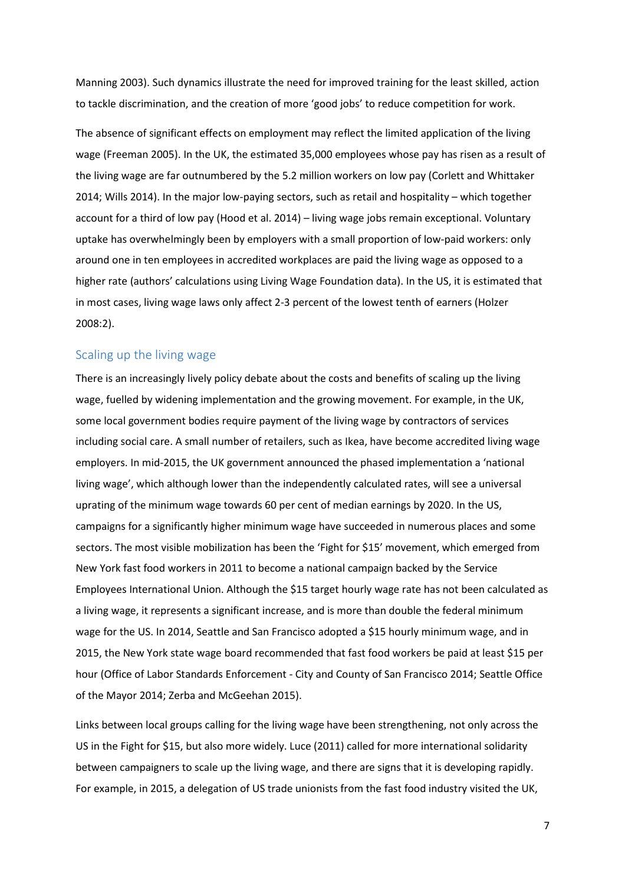Manning 2003). Such dynamics illustrate the need for improved training for the least skilled, action to tackle discrimination, and the creation of more 'good jobs' to reduce competition for work.

The absence of significant effects on employment may reflect the limited application of the living wage (Freeman 2005). In the UK, the estimated 35,000 employees whose pay has risen as a result of the living wage are far outnumbered by the 5.2 million workers on low pay (Corlett and Whittaker 2014; Wills 2014). In the major low-paying sectors, such as retail and hospitality – which together account for a third of low pay (Hood et al. 2014) – living wage jobs remain exceptional. Voluntary uptake has overwhelmingly been by employers with a small proportion of low-paid workers: only around one in ten employees in accredited workplaces are paid the living wage as opposed to a higher rate (authors' calculations using Living Wage Foundation data). In the US, it is estimated that in most cases, living wage laws only affect 2-3 percent of the lowest tenth of earners (Holzer 2008:2).

# Scaling up the living wage

There is an increasingly lively policy debate about the costs and benefits of scaling up the living wage, fuelled by widening implementation and the growing movement. For example, in the UK, some local government bodies require payment of the living wage by contractors of services including social care. A small number of retailers, such as Ikea, have become accredited living wage employers. In mid-2015, the UK government announced the phased implementation a 'national living wage', which although lower than the independently calculated rates, will see a universal uprating of the minimum wage towards 60 per cent of median earnings by 2020. In the US, campaigns for a significantly higher minimum wage have succeeded in numerous places and some sectors. The most visible mobilization has been the 'Fight for \$15' movement, which emerged from New York fast food workers in 2011 to become a national campaign backed by the Service Employees International Union. Although the \$15 target hourly wage rate has not been calculated as a living wage, it represents a significant increase, and is more than double the federal minimum wage for the US. In 2014, Seattle and San Francisco adopted a \$15 hourly minimum wage, and in 2015, the New York state wage board recommended that fast food workers be paid at least \$15 per hour (Office of Labor Standards Enforcement - City and County of San Francisco 2014; Seattle Office of the Mayor 2014; Zerba and McGeehan 2015).

Links between local groups calling for the living wage have been strengthening, not only across the US in the Fight for \$15, but also more widely. Luce (2011) called for more international solidarity between campaigners to scale up the living wage, and there are signs that it is developing rapidly. For example, in 2015, a delegation of US trade unionists from the fast food industry visited the UK,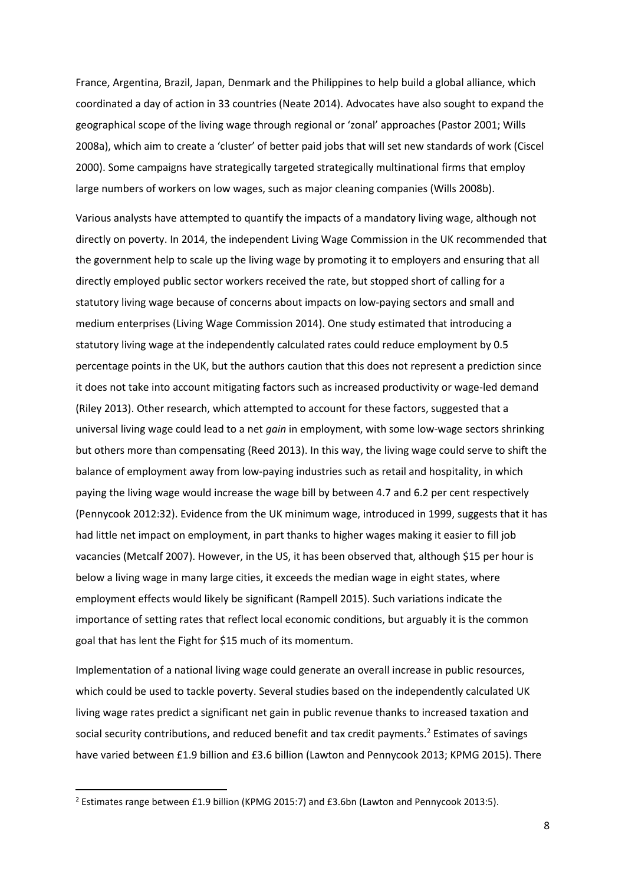France, Argentina, Brazil, Japan, Denmark and the Philippines to help build a global alliance, which coordinated a day of action in 33 countries (Neate 2014). Advocates have also sought to expand the geographical scope of the living wage through regional or 'zonal' approaches (Pastor 2001; Wills 2008a), which aim to create a 'cluster' of better paid jobs that will set new standards of work (Ciscel 2000). Some campaigns have strategically targeted strategically multinational firms that employ large numbers of workers on low wages, such as major cleaning companies (Wills 2008b).

Various analysts have attempted to quantify the impacts of a mandatory living wage, although not directly on poverty. In 2014, the independent Living Wage Commission in the UK recommended that the government help to scale up the living wage by promoting it to employers and ensuring that all directly employed public sector workers received the rate, but stopped short of calling for a statutory living wage because of concerns about impacts on low-paying sectors and small and medium enterprises (Living Wage Commission 2014). One study estimated that introducing a statutory living wage at the independently calculated rates could reduce employment by 0.5 percentage points in the UK, but the authors caution that this does not represent a prediction since it does not take into account mitigating factors such as increased productivity or wage-led demand (Riley 2013). Other research, which attempted to account for these factors, suggested that a universal living wage could lead to a net *gain* in employment, with some low-wage sectors shrinking but others more than compensating (Reed 2013). In this way, the living wage could serve to shift the balance of employment away from low-paying industries such as retail and hospitality, in which paying the living wage would increase the wage bill by between 4.7 and 6.2 per cent respectively (Pennycook 2012:32). Evidence from the UK minimum wage, introduced in 1999, suggests that it has had little net impact on employment, in part thanks to higher wages making it easier to fill job vacancies (Metcalf 2007). However, in the US, it has been observed that, although \$15 per hour is below a living wage in many large cities, it exceeds the median wage in eight states, where employment effects would likely be significant (Rampell 2015). Such variations indicate the importance of setting rates that reflect local economic conditions, but arguably it is the common goal that has lent the Fight for \$15 much of its momentum.

Implementation of a national living wage could generate an overall increase in public resources, which could be used to tackle poverty. Several studies based on the independently calculated UK living wage rates predict a significant net gain in public revenue thanks to increased taxation and social security contributions, and reduced benefit and tax credit payments.<sup>2</sup> Estimates of savings have varied between £1.9 billion and £3.6 billion (Lawton and Pennycook 2013; KPMG 2015). There

<sup>&</sup>lt;sup>2</sup> Estimates range between £1.9 billion (KPMG 2015:7) and £3.6bn (Lawton and Pennycook 2013:5).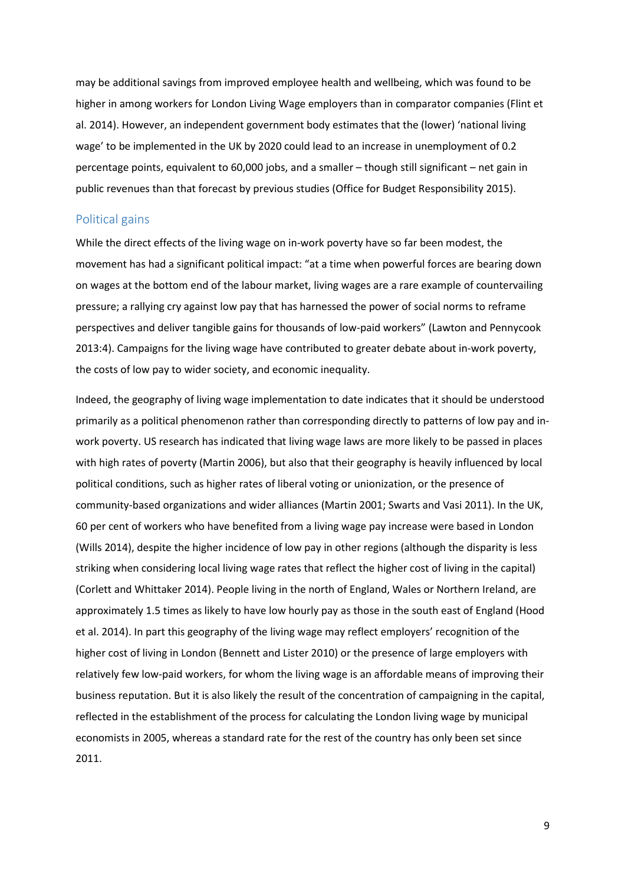may be additional savings from improved employee health and wellbeing, which was found to be higher in among workers for London Living Wage employers than in comparator companies (Flint et al. 2014). However, an independent government body estimates that the (lower) 'national living wage' to be implemented in the UK by 2020 could lead to an increase in unemployment of 0.2 percentage points, equivalent to 60,000 jobs, and a smaller – though still significant – net gain in public revenues than that forecast by previous studies (Office for Budget Responsibility 2015).

#### Political gains

While the direct effects of the living wage on in-work poverty have so far been modest, the movement has had a significant political impact: "at a time when powerful forces are bearing down on wages at the bottom end of the labour market, living wages are a rare example of countervailing pressure; a rallying cry against low pay that has harnessed the power of social norms to reframe perspectives and deliver tangible gains for thousands of low-paid workers" (Lawton and Pennycook 2013:4). Campaigns for the living wage have contributed to greater debate about in-work poverty, the costs of low pay to wider society, and economic inequality.

Indeed, the geography of living wage implementation to date indicates that it should be understood primarily as a political phenomenon rather than corresponding directly to patterns of low pay and inwork poverty. US research has indicated that living wage laws are more likely to be passed in places with high rates of poverty (Martin 2006), but also that their geography is heavily influenced by local political conditions, such as higher rates of liberal voting or unionization, or the presence of community-based organizations and wider alliances (Martin 2001; Swarts and Vasi 2011). In the UK, 60 per cent of workers who have benefited from a living wage pay increase were based in London (Wills 2014), despite the higher incidence of low pay in other regions (although the disparity is less striking when considering local living wage rates that reflect the higher cost of living in the capital) (Corlett and Whittaker 2014). People living in the north of England, Wales or Northern Ireland, are approximately 1.5 times as likely to have low hourly pay as those in the south east of England (Hood et al. 2014). In part this geography of the living wage may reflect employers' recognition of the higher cost of living in London (Bennett and Lister 2010) or the presence of large employers with relatively few low-paid workers, for whom the living wage is an affordable means of improving their business reputation. But it is also likely the result of the concentration of campaigning in the capital, reflected in the establishment of the process for calculating the London living wage by municipal economists in 2005, whereas a standard rate for the rest of the country has only been set since 2011.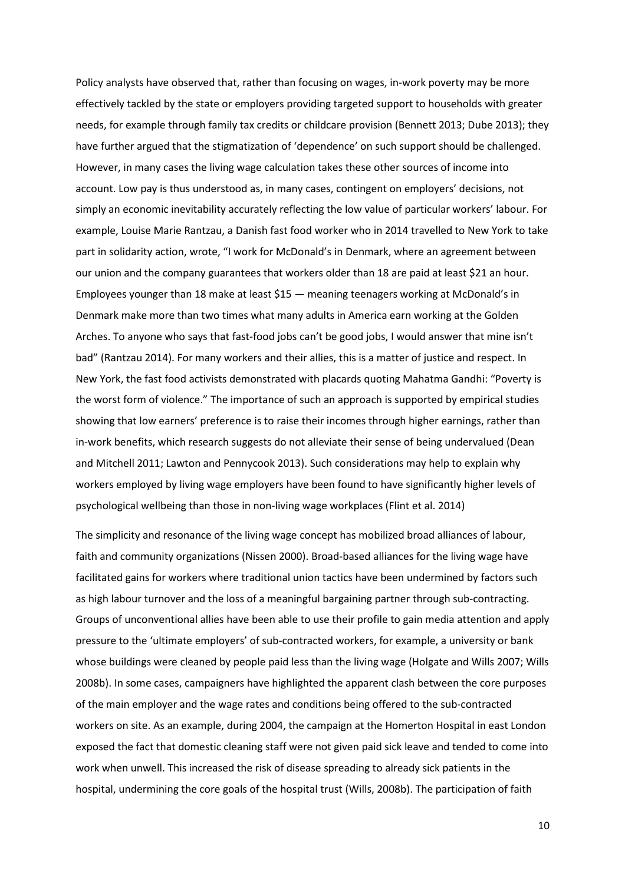Policy analysts have observed that, rather than focusing on wages, in-work poverty may be more effectively tackled by the state or employers providing targeted support to households with greater needs, for example through family tax credits or childcare provision (Bennett 2013; Dube 2013); they have further argued that the stigmatization of 'dependence' on such support should be challenged. However, in many cases the living wage calculation takes these other sources of income into account. Low pay is thus understood as, in many cases, contingent on employers' decisions, not simply an economic inevitability accurately reflecting the low value of particular workers' labour. For example, Louise Marie Rantzau, a Danish fast food worker who in 2014 travelled to New York to take part in solidarity action, wrote, "I work for McDonald's in Denmark, where an agreement between our union and the company guarantees that workers older than 18 are paid at least \$21 an hour. Employees younger than 18 make at least \$15 — meaning teenagers working at McDonald's in Denmark make more than two times what many adults in America earn working at the Golden Arches. To anyone who says that fast-food jobs can't be good jobs, I would answer that mine isn't bad" (Rantzau 2014). For many workers and their allies, this is a matter of justice and respect. In New York, the fast food activists demonstrated with placards quoting Mahatma Gandhi: "Poverty is the worst form of violence." The importance of such an approach is supported by empirical studies showing that low earners' preference is to raise their incomes through higher earnings, rather than in-work benefits, which research suggests do not alleviate their sense of being undervalued (Dean and Mitchell 2011; Lawton and Pennycook 2013). Such considerations may help to explain why workers employed by living wage employers have been found to have significantly higher levels of psychological wellbeing than those in non-living wage workplaces (Flint et al. 2014)

The simplicity and resonance of the living wage concept has mobilized broad alliances of labour, faith and community organizations (Nissen 2000). Broad-based alliances for the living wage have facilitated gains for workers where traditional union tactics have been undermined by factors such as high labour turnover and the loss of a meaningful bargaining partner through sub-contracting. Groups of unconventional allies have been able to use their profile to gain media attention and apply pressure to the 'ultimate employers' of sub-contracted workers, for example, a university or bank whose buildings were cleaned by people paid less than the living wage (Holgate and Wills 2007; Wills 2008b). In some cases, campaigners have highlighted the apparent clash between the core purposes of the main employer and the wage rates and conditions being offered to the sub-contracted workers on site. As an example, during 2004, the campaign at the Homerton Hospital in east London exposed the fact that domestic cleaning staff were not given paid sick leave and tended to come into work when unwell. This increased the risk of disease spreading to already sick patients in the hospital, undermining the core goals of the hospital trust (Wills, 2008b). The participation of faith

10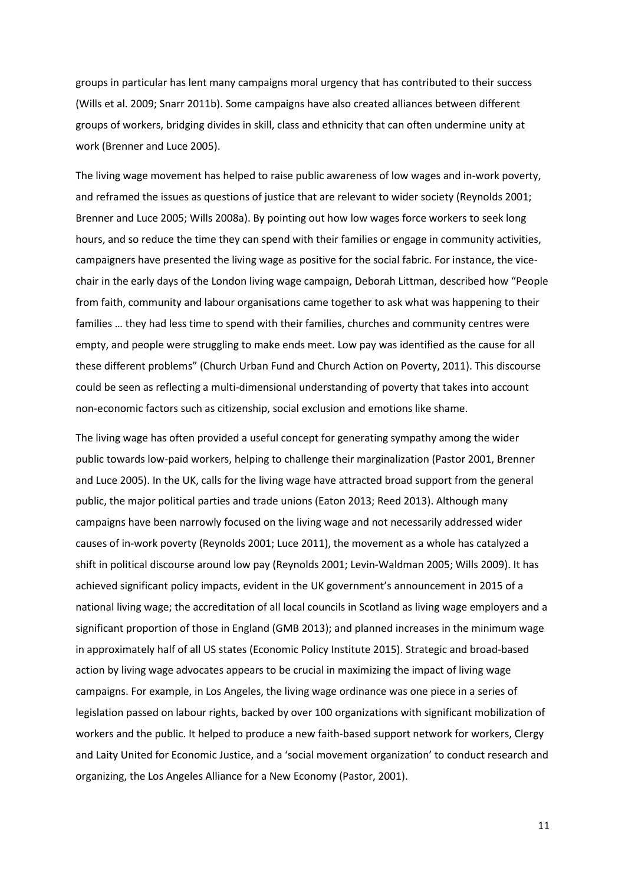groups in particular has lent many campaigns moral urgency that has contributed to their success (Wills et al. 2009; Snarr 2011b). Some campaigns have also created alliances between different groups of workers, bridging divides in skill, class and ethnicity that can often undermine unity at work (Brenner and Luce 2005).

The living wage movement has helped to raise public awareness of low wages and in-work poverty, and reframed the issues as questions of justice that are relevant to wider society (Reynolds 2001; Brenner and Luce 2005; Wills 2008a). By pointing out how low wages force workers to seek long hours, and so reduce the time they can spend with their families or engage in community activities, campaigners have presented the living wage as positive for the social fabric. For instance, the vicechair in the early days of the London living wage campaign, Deborah Littman, described how "People from faith, community and labour organisations came together to ask what was happening to their families … they had less time to spend with their families, churches and community centres were empty, and people were struggling to make ends meet. Low pay was identified as the cause for all these different problems" (Church Urban Fund and Church Action on Poverty, 2011). This discourse could be seen as reflecting a multi-dimensional understanding of poverty that takes into account non-economic factors such as citizenship, social exclusion and emotions like shame.

The living wage has often provided a useful concept for generating sympathy among the wider public towards low-paid workers, helping to challenge their marginalization (Pastor 2001, Brenner and Luce 2005). In the UK, calls for the living wage have attracted broad support from the general public, the major political parties and trade unions (Eaton 2013; Reed 2013). Although many campaigns have been narrowly focused on the living wage and not necessarily addressed wider causes of in-work poverty (Reynolds 2001; Luce 2011), the movement as a whole has catalyzed a shift in political discourse around low pay (Reynolds 2001; Levin-Waldman 2005; Wills 2009). It has achieved significant policy impacts, evident in the UK government's announcement in 2015 of a national living wage; the accreditation of all local councils in Scotland as living wage employers and a significant proportion of those in England (GMB 2013); and planned increases in the minimum wage in approximately half of all US states (Economic Policy Institute 2015). Strategic and broad-based action by living wage advocates appears to be crucial in maximizing the impact of living wage campaigns. For example, in Los Angeles, the living wage ordinance was one piece in a series of legislation passed on labour rights, backed by over 100 organizations with significant mobilization of workers and the public. It helped to produce a new faith-based support network for workers, Clergy and Laity United for Economic Justice, and a 'social movement organization' to conduct research and organizing, the Los Angeles Alliance for a New Economy (Pastor, 2001).

11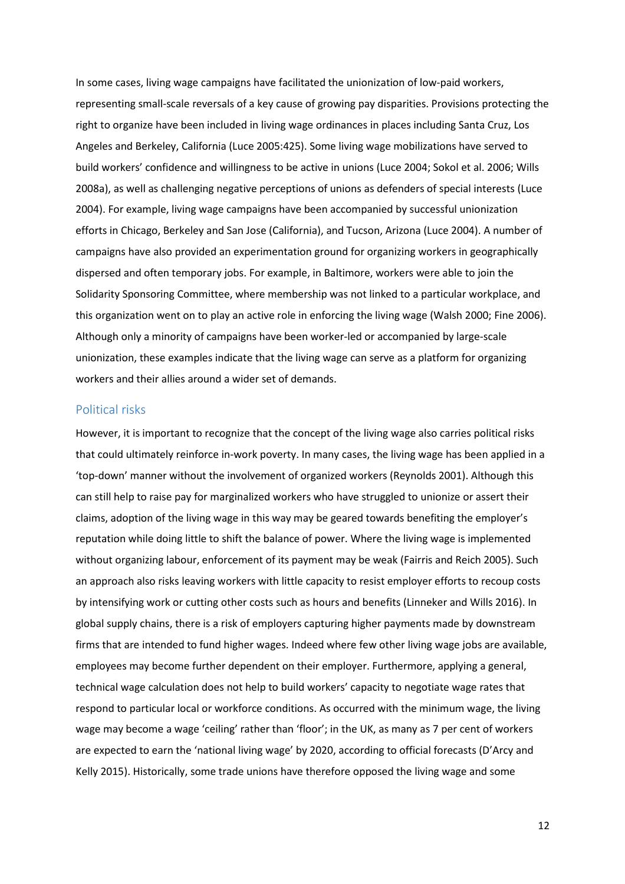In some cases, living wage campaigns have facilitated the unionization of low-paid workers, representing small-scale reversals of a key cause of growing pay disparities. Provisions protecting the right to organize have been included in living wage ordinances in places including Santa Cruz, Los Angeles and Berkeley, California (Luce 2005:425). Some living wage mobilizations have served to build workers' confidence and willingness to be active in unions (Luce 2004; Sokol et al. 2006; Wills 2008a), as well as challenging negative perceptions of unions as defenders of special interests (Luce 2004). For example, living wage campaigns have been accompanied by successful unionization efforts in Chicago, Berkeley and San Jose (California), and Tucson, Arizona (Luce 2004). A number of campaigns have also provided an experimentation ground for organizing workers in geographically dispersed and often temporary jobs. For example, in Baltimore, workers were able to join the Solidarity Sponsoring Committee, where membership was not linked to a particular workplace, and this organization went on to play an active role in enforcing the living wage (Walsh 2000; Fine 2006). Although only a minority of campaigns have been worker-led or accompanied by large-scale unionization, these examples indicate that the living wage can serve as a platform for organizing workers and their allies around a wider set of demands.

### Political risks

However, it is important to recognize that the concept of the living wage also carries political risks that could ultimately reinforce in-work poverty. In many cases, the living wage has been applied in a 'top-down' manner without the involvement of organized workers (Reynolds 2001). Although this can still help to raise pay for marginalized workers who have struggled to unionize or assert their claims, adoption of the living wage in this way may be geared towards benefiting the employer's reputation while doing little to shift the balance of power. Where the living wage is implemented without organizing labour, enforcement of its payment may be weak (Fairris and Reich 2005). Such an approach also risks leaving workers with little capacity to resist employer efforts to recoup costs by intensifying work or cutting other costs such as hours and benefits (Linneker and Wills 2016). In global supply chains, there is a risk of employers capturing higher payments made by downstream firms that are intended to fund higher wages. Indeed where few other living wage jobs are available, employees may become further dependent on their employer. Furthermore, applying a general, technical wage calculation does not help to build workers' capacity to negotiate wage rates that respond to particular local or workforce conditions. As occurred with the minimum wage, the living wage may become a wage 'ceiling' rather than 'floor'; in the UK, as many as 7 per cent of workers are expected to earn the 'national living wage' by 2020, according to official forecasts (D'Arcy and Kelly 2015). Historically, some trade unions have therefore opposed the living wage and some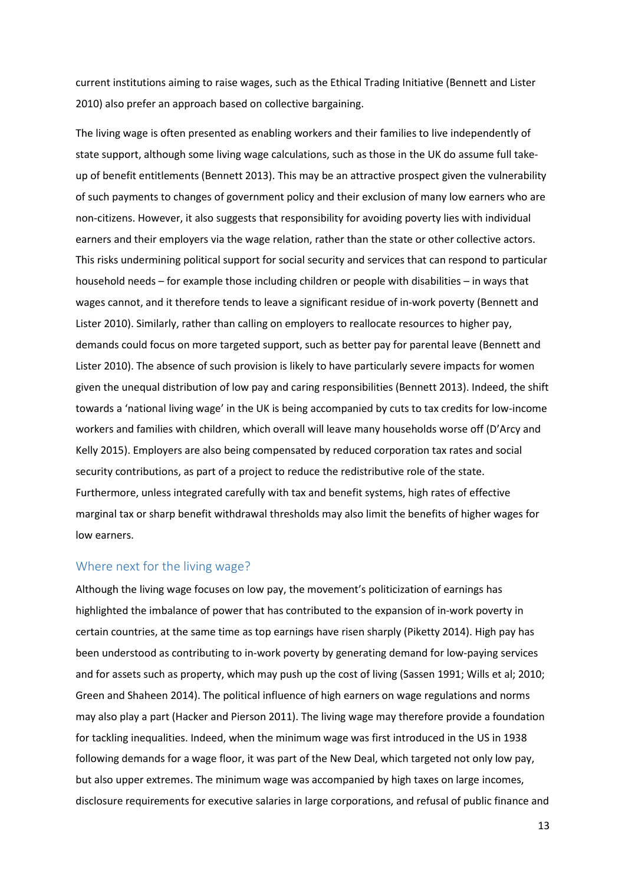current institutions aiming to raise wages, such as the Ethical Trading Initiative (Bennett and Lister 2010) also prefer an approach based on collective bargaining.

The living wage is often presented as enabling workers and their families to live independently of state support, although some living wage calculations, such as those in the UK do assume full takeup of benefit entitlements (Bennett 2013). This may be an attractive prospect given the vulnerability of such payments to changes of government policy and their exclusion of many low earners who are non-citizens. However, it also suggests that responsibility for avoiding poverty lies with individual earners and their employers via the wage relation, rather than the state or other collective actors. This risks undermining political support for social security and services that can respond to particular household needs – for example those including children or people with disabilities – in ways that wages cannot, and it therefore tends to leave a significant residue of in-work poverty (Bennett and Lister 2010). Similarly, rather than calling on employers to reallocate resources to higher pay, demands could focus on more targeted support, such as better pay for parental leave (Bennett and Lister 2010). The absence of such provision is likely to have particularly severe impacts for women given the unequal distribution of low pay and caring responsibilities (Bennett 2013). Indeed, the shift towards a 'national living wage' in the UK is being accompanied by cuts to tax credits for low-income workers and families with children, which overall will leave many households worse off (D'Arcy and Kelly 2015). Employers are also being compensated by reduced corporation tax rates and social security contributions, as part of a project to reduce the redistributive role of the state. Furthermore, unless integrated carefully with tax and benefit systems, high rates of effective marginal tax or sharp benefit withdrawal thresholds may also limit the benefits of higher wages for low earners.

## Where next for the living wage?

Although the living wage focuses on low pay, the movement's politicization of earnings has highlighted the imbalance of power that has contributed to the expansion of in-work poverty in certain countries, at the same time as top earnings have risen sharply (Piketty 2014). High pay has been understood as contributing to in-work poverty by generating demand for low-paying services and for assets such as property, which may push up the cost of living (Sassen 1991; Wills et al; 2010; Green and Shaheen 2014). The political influence of high earners on wage regulations and norms may also play a part (Hacker and Pierson 2011). The living wage may therefore provide a foundation for tackling inequalities. Indeed, when the minimum wage was first introduced in the US in 1938 following demands for a wage floor, it was part of the New Deal, which targeted not only low pay, but also upper extremes. The minimum wage was accompanied by high taxes on large incomes, disclosure requirements for executive salaries in large corporations, and refusal of public finance and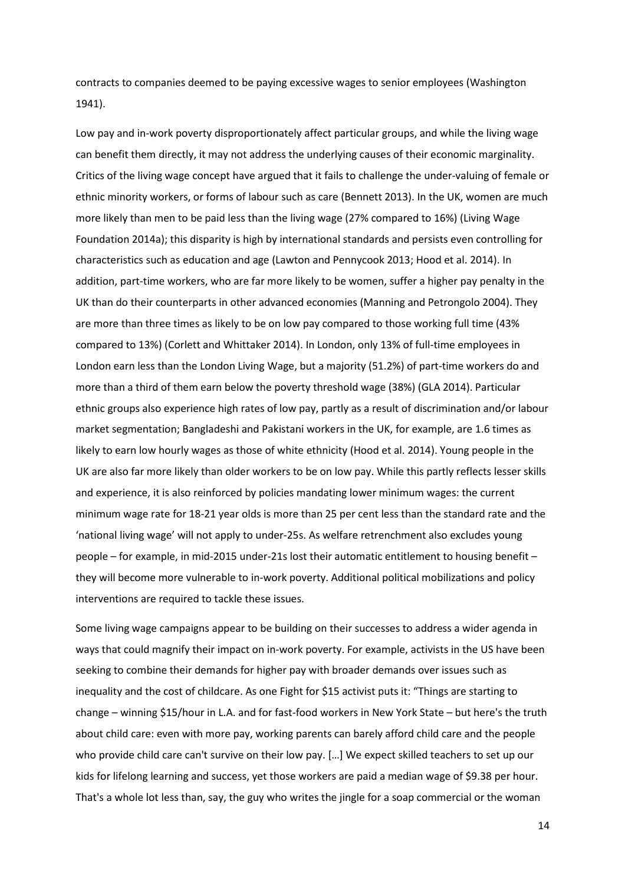contracts to companies deemed to be paying excessive wages to senior employees (Washington 1941).

Low pay and in-work poverty disproportionately affect particular groups, and while the living wage can benefit them directly, it may not address the underlying causes of their economic marginality. Critics of the living wage concept have argued that it fails to challenge the under-valuing of female or ethnic minority workers, or forms of labour such as care (Bennett 2013). In the UK, women are much more likely than men to be paid less than the living wage (27% compared to 16%) (Living Wage Foundation 2014a); this disparity is high by international standards and persists even controlling for characteristics such as education and age (Lawton and Pennycook 2013; Hood et al. 2014). In addition, part-time workers, who are far more likely to be women, suffer a higher pay penalty in the UK than do their counterparts in other advanced economies (Manning and Petrongolo 2004). They are more than three times as likely to be on low pay compared to those working full time (43% compared to 13%) (Corlett and Whittaker 2014). In London, only 13% of full-time employees in London earn less than the London Living Wage, but a majority (51.2%) of part-time workers do and more than a third of them earn below the poverty threshold wage (38%) (GLA 2014). Particular ethnic groups also experience high rates of low pay, partly as a result of discrimination and/or labour market segmentation; Bangladeshi and Pakistani workers in the UK, for example, are 1.6 times as likely to earn low hourly wages as those of white ethnicity (Hood et al. 2014). Young people in the UK are also far more likely than older workers to be on low pay. While this partly reflects lesser skills and experience, it is also reinforced by policies mandating lower minimum wages: the current minimum wage rate for 18-21 year olds is more than 25 per cent less than the standard rate and the 'national living wage' will not apply to under-25s. As welfare retrenchment also excludes young people – for example, in mid-2015 under-21s lost their automatic entitlement to housing benefit – they will become more vulnerable to in-work poverty. Additional political mobilizations and policy interventions are required to tackle these issues.

Some living wage campaigns appear to be building on their successes to address a wider agenda in ways that could magnify their impact on in-work poverty. For example, activists in the US have been seeking to combine their demands for higher pay with broader demands over issues such as inequality and the cost of childcare. As one Fight for \$15 activist puts it: "Things are starting to change – winning \$15/hour in L.A. and for fast-food workers in New York State – but here's the truth about child care: even with more pay, working parents can barely afford child care and the people who provide child care can't survive on their low pay. […] We expect skilled teachers to set up our kids for lifelong learning and success, yet those workers are paid a median wage of \$9.38 per hour. That's a whole lot less than, say, the guy who writes the jingle for a soap commercial or the woman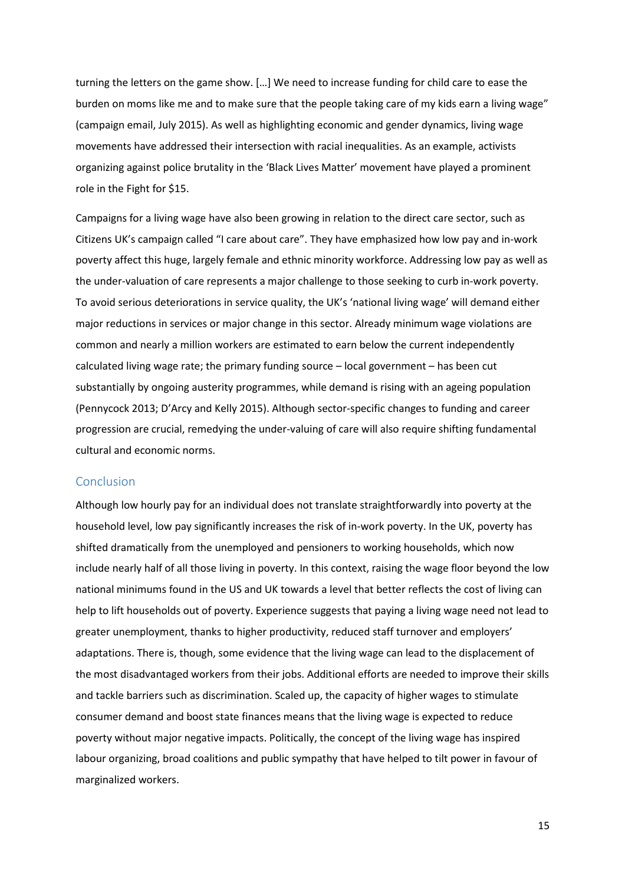turning the letters on the game show. […] We need to increase funding for child care to ease the burden on moms like me and to make sure that the people taking care of my kids earn a living wage" (campaign email, July 2015). As well as highlighting economic and gender dynamics, living wage movements have addressed their intersection with racial inequalities. As an example, activists organizing against police brutality in the 'Black Lives Matter' movement have played a prominent role in the Fight for \$15.

Campaigns for a living wage have also been growing in relation to the direct care sector, such as Citizens UK's campaign called "I care about care". They have emphasized how low pay and in-work poverty affect this huge, largely female and ethnic minority workforce. Addressing low pay as well as the under-valuation of care represents a major challenge to those seeking to curb in-work poverty. To avoid serious deteriorations in service quality, the UK's 'national living wage' will demand either major reductions in services or major change in this sector. Already minimum wage violations are common and nearly a million workers are estimated to earn below the current independently calculated living wage rate; the primary funding source – local government – has been cut substantially by ongoing austerity programmes, while demand is rising with an ageing population (Pennycock 2013; D'Arcy and Kelly 2015). Although sector-specific changes to funding and career progression are crucial, remedying the under-valuing of care will also require shifting fundamental cultural and economic norms.

### Conclusion

Although low hourly pay for an individual does not translate straightforwardly into poverty at the household level, low pay significantly increases the risk of in-work poverty. In the UK, poverty has shifted dramatically from the unemployed and pensioners to working households, which now include nearly half of all those living in poverty. In this context, raising the wage floor beyond the low national minimums found in the US and UK towards a level that better reflects the cost of living can help to lift households out of poverty. Experience suggests that paying a living wage need not lead to greater unemployment, thanks to higher productivity, reduced staff turnover and employers' adaptations. There is, though, some evidence that the living wage can lead to the displacement of the most disadvantaged workers from their jobs. Additional efforts are needed to improve their skills and tackle barriers such as discrimination. Scaled up, the capacity of higher wages to stimulate consumer demand and boost state finances means that the living wage is expected to reduce poverty without major negative impacts. Politically, the concept of the living wage has inspired labour organizing, broad coalitions and public sympathy that have helped to tilt power in favour of marginalized workers.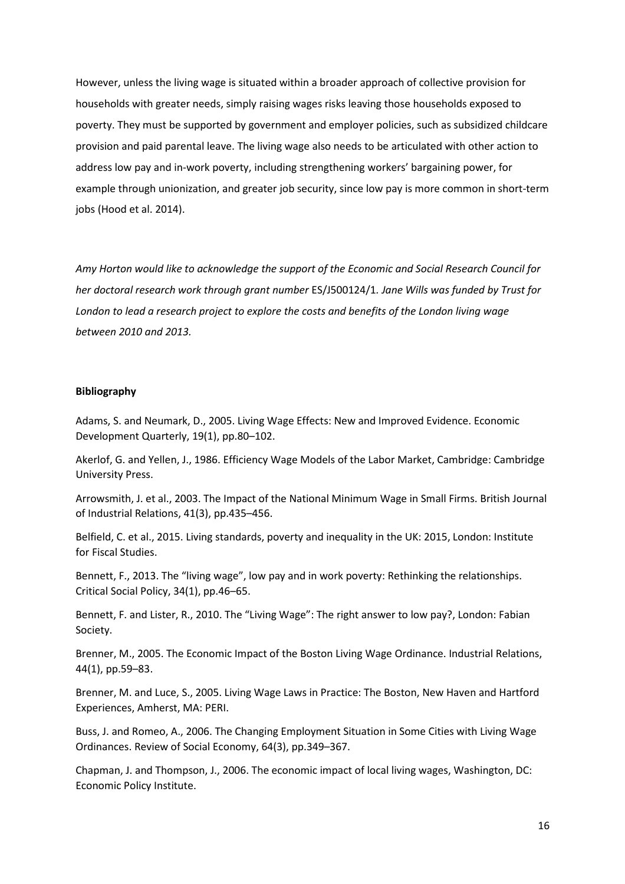However, unless the living wage is situated within a broader approach of collective provision for households with greater needs, simply raising wages risks leaving those households exposed to poverty. They must be supported by government and employer policies, such as subsidized childcare provision and paid parental leave. The living wage also needs to be articulated with other action to address low pay and in-work poverty, including strengthening workers' bargaining power, for example through unionization, and greater job security, since low pay is more common in short-term jobs (Hood et al. 2014).

*Amy Horton would like to acknowledge the support of the Economic and Social Research Council for her doctoral research work through grant number* ES/J500124/1*. Jane Wills was funded by Trust for London to lead a research project to explore the costs and benefits of the London living wage between 2010 and 2013.*

#### **Bibliography**

Adams, S. and Neumark, D., 2005. Living Wage Effects: New and Improved Evidence. Economic Development Quarterly, 19(1), pp.80–102.

Akerlof, G. and Yellen, J., 1986. Efficiency Wage Models of the Labor Market, Cambridge: Cambridge University Press.

Arrowsmith, J. et al., 2003. The Impact of the National Minimum Wage in Small Firms. British Journal of Industrial Relations, 41(3), pp.435–456.

Belfield, C. et al., 2015. Living standards, poverty and inequality in the UK: 2015, London: Institute for Fiscal Studies.

Bennett, F., 2013. The "living wage", low pay and in work poverty: Rethinking the relationships. Critical Social Policy, 34(1), pp.46–65.

Bennett, F. and Lister, R., 2010. The "Living Wage": The right answer to low pay?, London: Fabian Society.

Brenner, M., 2005. The Economic Impact of the Boston Living Wage Ordinance. Industrial Relations, 44(1), pp.59–83.

Brenner, M. and Luce, S., 2005. Living Wage Laws in Practice: The Boston, New Haven and Hartford Experiences, Amherst, MA: PERI.

Buss, J. and Romeo, A., 2006. The Changing Employment Situation in Some Cities with Living Wage Ordinances. Review of Social Economy, 64(3), pp.349–367.

Chapman, J. and Thompson, J., 2006. The economic impact of local living wages, Washington, DC: Economic Policy Institute.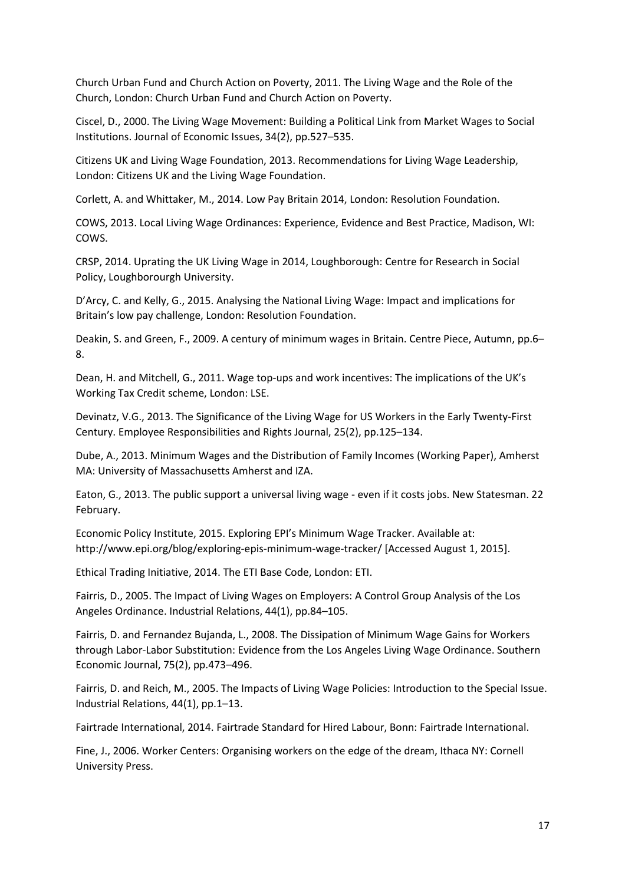Church Urban Fund and Church Action on Poverty, 2011. The Living Wage and the Role of the Church, London: Church Urban Fund and Church Action on Poverty.

Ciscel, D., 2000. The Living Wage Movement: Building a Political Link from Market Wages to Social Institutions. Journal of Economic Issues, 34(2), pp.527–535.

Citizens UK and Living Wage Foundation, 2013. Recommendations for Living Wage Leadership, London: Citizens UK and the Living Wage Foundation.

Corlett, A. and Whittaker, M., 2014. Low Pay Britain 2014, London: Resolution Foundation.

COWS, 2013. Local Living Wage Ordinances: Experience, Evidence and Best Practice, Madison, WI: COWS.

CRSP, 2014. Uprating the UK Living Wage in 2014, Loughborough: Centre for Research in Social Policy, Loughborourgh University.

D'Arcy, C. and Kelly, G., 2015. Analysing the National Living Wage: Impact and implications for Britain's low pay challenge, London: Resolution Foundation.

Deakin, S. and Green, F., 2009. A century of minimum wages in Britain. Centre Piece, Autumn, pp.6– 8.

Dean, H. and Mitchell, G., 2011. Wage top-ups and work incentives: The implications of the UK's Working Tax Credit scheme, London: LSE.

Devinatz, V.G., 2013. The Significance of the Living Wage for US Workers in the Early Twenty-First Century. Employee Responsibilities and Rights Journal, 25(2), pp.125–134.

Dube, A., 2013. Minimum Wages and the Distribution of Family Incomes (Working Paper), Amherst MA: University of Massachusetts Amherst and IZA.

Eaton, G., 2013. The public support a universal living wage - even if it costs jobs. New Statesman. 22 February.

Economic Policy Institute, 2015. Exploring EPI's Minimum Wage Tracker. Available at: http://www.epi.org/blog/exploring-epis-minimum-wage-tracker/ [Accessed August 1, 2015].

Ethical Trading Initiative, 2014. The ETI Base Code, London: ETI.

Fairris, D., 2005. The Impact of Living Wages on Employers: A Control Group Analysis of the Los Angeles Ordinance. Industrial Relations, 44(1), pp.84–105.

Fairris, D. and Fernandez Bujanda, L., 2008. The Dissipation of Minimum Wage Gains for Workers through Labor-Labor Substitution: Evidence from the Los Angeles Living Wage Ordinance. Southern Economic Journal, 75(2), pp.473–496.

Fairris, D. and Reich, M., 2005. The Impacts of Living Wage Policies: Introduction to the Special Issue. Industrial Relations, 44(1), pp.1–13.

Fairtrade International, 2014. Fairtrade Standard for Hired Labour, Bonn: Fairtrade International.

Fine, J., 2006. Worker Centers: Organising workers on the edge of the dream, Ithaca NY: Cornell University Press.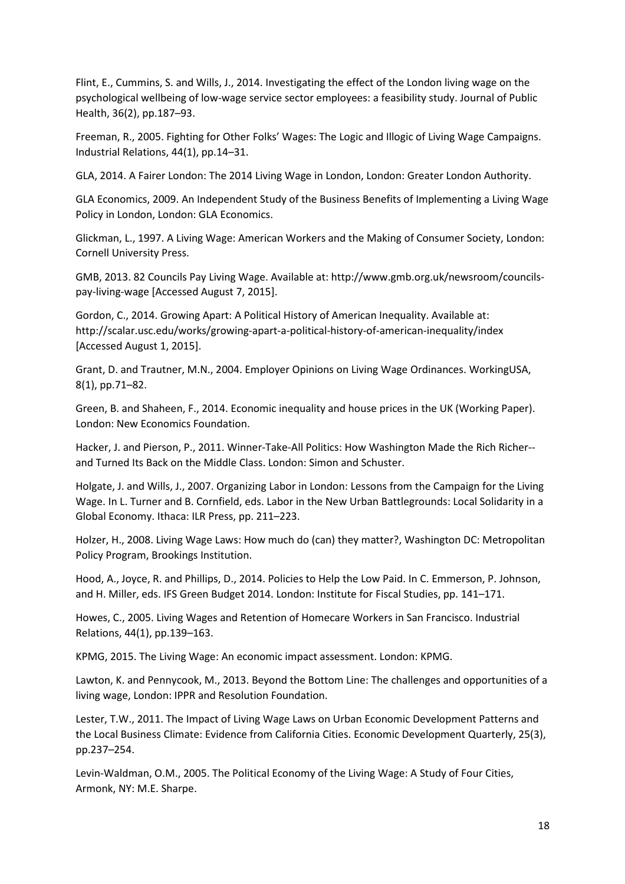Flint, E., Cummins, S. and Wills, J., 2014. Investigating the effect of the London living wage on the psychological wellbeing of low-wage service sector employees: a feasibility study. Journal of Public Health, 36(2), pp.187–93.

Freeman, R., 2005. Fighting for Other Folks' Wages: The Logic and Illogic of Living Wage Campaigns. Industrial Relations, 44(1), pp.14–31.

GLA, 2014. A Fairer London: The 2014 Living Wage in London, London: Greater London Authority.

GLA Economics, 2009. An Independent Study of the Business Benefits of Implementing a Living Wage Policy in London, London: GLA Economics.

Glickman, L., 1997. A Living Wage: American Workers and the Making of Consumer Society, London: Cornell University Press.

GMB, 2013. 82 Councils Pay Living Wage. Available at: http://www.gmb.org.uk/newsroom/councilspay-living-wage [Accessed August 7, 2015].

Gordon, C., 2014. Growing Apart: A Political History of American Inequality. Available at: http://scalar.usc.edu/works/growing-apart-a-political-history-of-american-inequality/index [Accessed August 1, 2015].

Grant, D. and Trautner, M.N., 2004. Employer Opinions on Living Wage Ordinances. WorkingUSA, 8(1), pp.71–82.

Green, B. and Shaheen, F., 2014. Economic inequality and house prices in the UK (Working Paper). London: New Economics Foundation.

Hacker, J. and Pierson, P., 2011. Winner-Take-All Politics: How Washington Made the Rich Richer- and Turned Its Back on the Middle Class. London: Simon and Schuster.

Holgate, J. and Wills, J., 2007. Organizing Labor in London: Lessons from the Campaign for the Living Wage. In L. Turner and B. Cornfield, eds. Labor in the New Urban Battlegrounds: Local Solidarity in a Global Economy. Ithaca: ILR Press, pp. 211–223.

Holzer, H., 2008. Living Wage Laws: How much do (can) they matter?, Washington DC: Metropolitan Policy Program, Brookings Institution.

Hood, A., Joyce, R. and Phillips, D., 2014. Policies to Help the Low Paid. In C. Emmerson, P. Johnson, and H. Miller, eds. IFS Green Budget 2014. London: Institute for Fiscal Studies, pp. 141–171.

Howes, C., 2005. Living Wages and Retention of Homecare Workers in San Francisco. Industrial Relations, 44(1), pp.139–163.

KPMG, 2015. The Living Wage: An economic impact assessment. London: KPMG.

Lawton, K. and Pennycook, M., 2013. Beyond the Bottom Line: The challenges and opportunities of a living wage, London: IPPR and Resolution Foundation.

Lester, T.W., 2011. The Impact of Living Wage Laws on Urban Economic Development Patterns and the Local Business Climate: Evidence from California Cities. Economic Development Quarterly, 25(3), pp.237–254.

Levin-Waldman, O.M., 2005. The Political Economy of the Living Wage: A Study of Four Cities, Armonk, NY: M.E. Sharpe.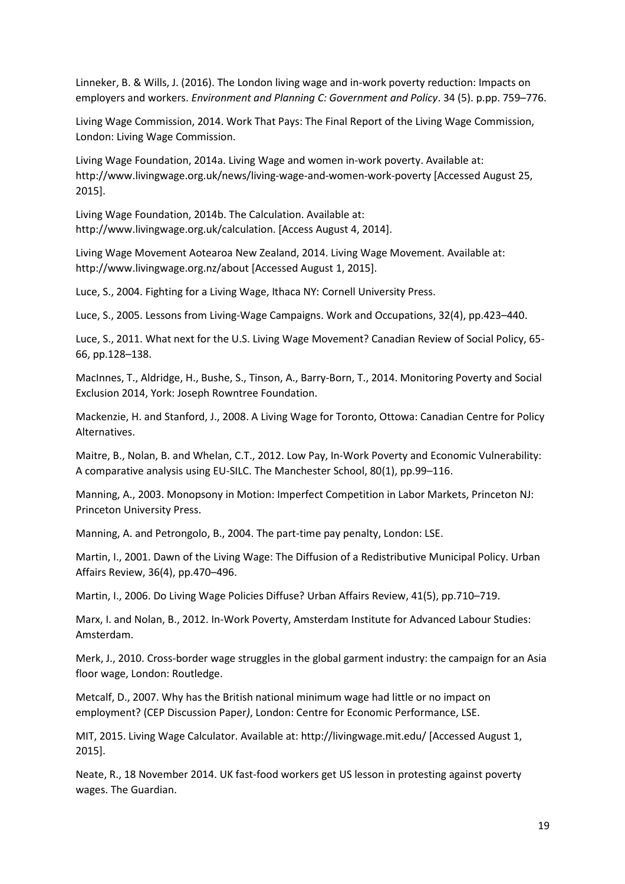Linneker, B. & Wills, J. (2016). The London living wage and in-work poverty reduction: Impacts on employers and workers. *Environment and Planning C: Government and Policy*. 34 (5). p.pp. 759–776.

Living Wage Commission, 2014. Work That Pays: The Final Report of the Living Wage Commission, London: Living Wage Commission.

Living Wage Foundation, 2014a. Living Wage and women in-work poverty. Available at: http://www.livingwage.org.uk/news/living-wage-and-women-work-poverty [Accessed August 25, 2015].

Living Wage Foundation, 2014b. The Calculation. Available at: http://www.livingwage.org.uk/calculation. [Access August 4, 2014].

Living Wage Movement Aotearoa New Zealand, 2014. Living Wage Movement. Available at: http://www.livingwage.org.nz/about [Accessed August 1, 2015].

Luce, S., 2004. Fighting for a Living Wage, Ithaca NY: Cornell University Press.

Luce, S., 2005. Lessons from Living-Wage Campaigns. Work and Occupations, 32(4), pp.423–440.

Luce, S., 2011. What next for the U.S. Living Wage Movement? Canadian Review of Social Policy, 65- 66, pp.128–138.

MacInnes, T., Aldridge, H., Bushe, S., Tinson, A., Barry-Born, T., 2014. Monitoring Poverty and Social Exclusion 2014, York: Joseph Rowntree Foundation.

Mackenzie, H. and Stanford, J., 2008. A Living Wage for Toronto, Ottowa: Canadian Centre for Policy Alternatives.

Maitre, B., Nolan, B. and Whelan, C.T., 2012. Low Pay, In-Work Poverty and Economic Vulnerability: A comparative analysis using EU-SILC. The Manchester School, 80(1), pp.99–116.

Manning, A., 2003. Monopsony in Motion: Imperfect Competition in Labor Markets, Princeton NJ: Princeton University Press.

Manning, A. and Petrongolo, B., 2004. The part-time pay penalty, London: LSE.

Martin, I., 2001. Dawn of the Living Wage: The Diffusion of a Redistributive Municipal Policy. Urban Affairs Review, 36(4), pp.470–496.

Martin, I., 2006. Do Living Wage Policies Diffuse? Urban Affairs Review, 41(5), pp.710–719.

Marx, I. and Nolan, B., 2012. In-Work Poverty, Amsterdam Institute for Advanced Labour Studies: Amsterdam.

Merk, J., 2010. Cross-border wage struggles in the global garment industry: the campaign for an Asia floor wage, London: Routledge.

Metcalf, D., 2007. Why has the British national minimum wage had little or no impact on employment? (CEP Discussion Paper*)*, London: Centre for Economic Performance, LSE.

MIT, 2015. Living Wage Calculator. Available at: http://livingwage.mit.edu/ [Accessed August 1, 2015].

Neate, R., 18 November 2014. UK fast-food workers get US lesson in protesting against poverty wages. The Guardian.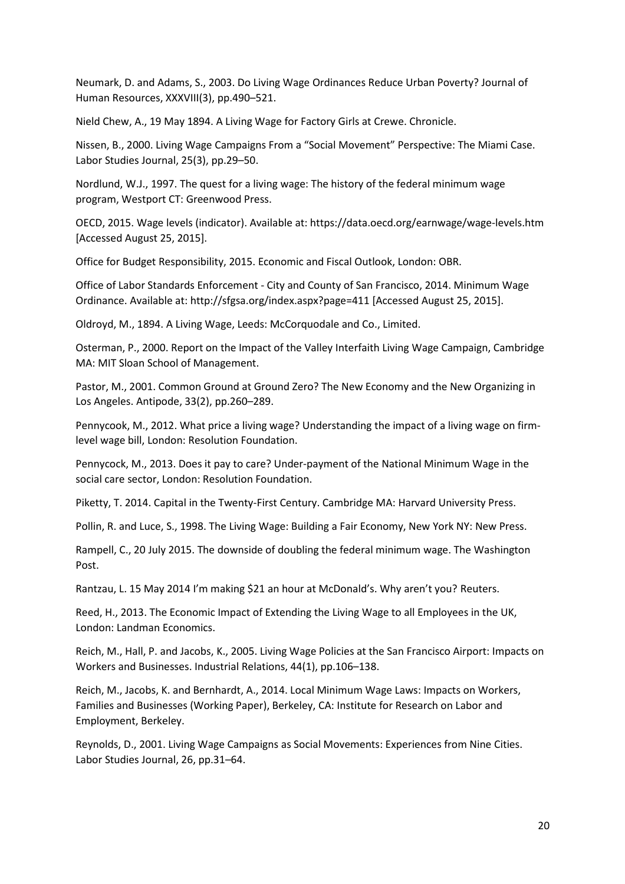Neumark, D. and Adams, S., 2003. Do Living Wage Ordinances Reduce Urban Poverty? Journal of Human Resources, XXXVIII(3), pp.490–521.

Nield Chew, A., 19 May 1894. A Living Wage for Factory Girls at Crewe. Chronicle.

Nissen, B., 2000. Living Wage Campaigns From a "Social Movement" Perspective: The Miami Case. Labor Studies Journal, 25(3), pp.29–50.

Nordlund, W.J., 1997. The quest for a living wage: The history of the federal minimum wage program, Westport CT: Greenwood Press.

OECD, 2015. Wage levels (indicator). Available at: https://data.oecd.org/earnwage/wage-levels.htm [Accessed August 25, 2015].

Office for Budget Responsibility, 2015. Economic and Fiscal Outlook, London: OBR.

Office of Labor Standards Enforcement - City and County of San Francisco, 2014. Minimum Wage Ordinance. Available at: http://sfgsa.org/index.aspx?page=411 [Accessed August 25, 2015].

Oldroyd, M., 1894. A Living Wage, Leeds: McCorquodale and Co., Limited.

Osterman, P., 2000. Report on the Impact of the Valley Interfaith Living Wage Campaign, Cambridge MA: MIT Sloan School of Management.

Pastor, M., 2001. Common Ground at Ground Zero? The New Economy and the New Organizing in Los Angeles. Antipode, 33(2), pp.260–289.

Pennycook, M., 2012. What price a living wage? Understanding the impact of a living wage on firmlevel wage bill, London: Resolution Foundation.

Pennycock, M., 2013. Does it pay to care? Under-payment of the National Minimum Wage in the social care sector, London: Resolution Foundation.

Piketty, T. 2014. Capital in the Twenty-First Century. Cambridge MA: Harvard University Press.

Pollin, R. and Luce, S., 1998. The Living Wage: Building a Fair Economy, New York NY: New Press.

Rampell, C., 20 July 2015. The downside of doubling the federal minimum wage. The Washington Post.

Rantzau, L. 15 May 2014 I'm making \$21 an hour at McDonald's. Why aren't you? Reuters.

Reed, H., 2013. The Economic Impact of Extending the Living Wage to all Employees in the UK, London: Landman Economics.

Reich, M., Hall, P. and Jacobs, K., 2005. Living Wage Policies at the San Francisco Airport: Impacts on Workers and Businesses. Industrial Relations, 44(1), pp.106–138.

Reich, M., Jacobs, K. and Bernhardt, A., 2014. Local Minimum Wage Laws: Impacts on Workers, Families and Businesses (Working Paper), Berkeley, CA: Institute for Research on Labor and Employment, Berkeley.

Reynolds, D., 2001. Living Wage Campaigns as Social Movements: Experiences from Nine Cities. Labor Studies Journal, 26, pp.31–64.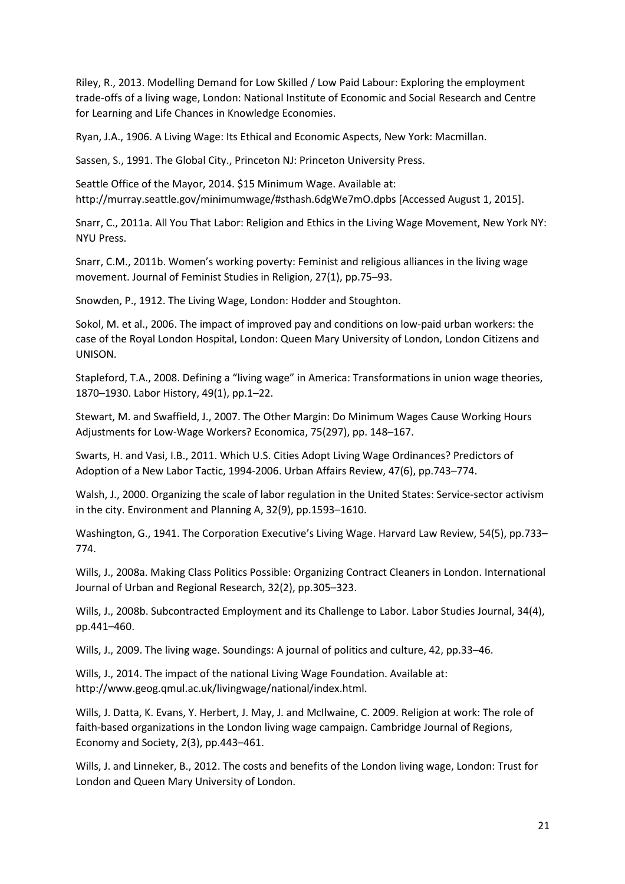Riley, R., 2013. Modelling Demand for Low Skilled / Low Paid Labour: Exploring the employment trade-offs of a living wage, London: National Institute of Economic and Social Research and Centre for Learning and Life Chances in Knowledge Economies.

Ryan, J.A., 1906. A Living Wage: Its Ethical and Economic Aspects, New York: Macmillan.

Sassen, S., 1991. The Global City., Princeton NJ: Princeton University Press.

Seattle Office of the Mayor, 2014. \$15 Minimum Wage. Available at: http://murray.seattle.gov/minimumwage/#sthash.6dgWe7mO.dpbs [Accessed August 1, 2015].

Snarr, C., 2011a. All You That Labor: Religion and Ethics in the Living Wage Movement, New York NY: NYU Press.

Snarr, C.M., 2011b. Women's working poverty: Feminist and religious alliances in the living wage movement. Journal of Feminist Studies in Religion, 27(1), pp.75–93.

Snowden, P., 1912. The Living Wage, London: Hodder and Stoughton.

Sokol, M. et al., 2006. The impact of improved pay and conditions on low-paid urban workers: the case of the Royal London Hospital, London: Queen Mary University of London, London Citizens and UNISON.

Stapleford, T.A., 2008. Defining a "living wage" in America: Transformations in union wage theories, 1870–1930. Labor History, 49(1), pp.1–22.

Stewart, M. and Swaffield, J., 2007. The Other Margin: Do Minimum Wages Cause Working Hours Adjustments for Low-Wage Workers? Economica, 75(297), pp. 148–167.

Swarts, H. and Vasi, I.B., 2011. Which U.S. Cities Adopt Living Wage Ordinances? Predictors of Adoption of a New Labor Tactic, 1994-2006. Urban Affairs Review, 47(6), pp.743–774.

Walsh, J., 2000. Organizing the scale of labor regulation in the United States: Service-sector activism in the city. Environment and Planning A, 32(9), pp.1593–1610.

Washington, G., 1941. The Corporation Executive's Living Wage. Harvard Law Review, 54(5), pp.733– 774.

Wills, J., 2008a. Making Class Politics Possible: Organizing Contract Cleaners in London. International Journal of Urban and Regional Research, 32(2), pp.305–323.

Wills, J., 2008b. Subcontracted Employment and its Challenge to Labor. Labor Studies Journal, 34(4), pp.441–460.

Wills, J., 2009. The living wage. Soundings: A journal of politics and culture, 42, pp.33–46.

Wills, J., 2014. The impact of the national Living Wage Foundation. Available at: http://www.geog.qmul.ac.uk/livingwage/national/index.html.

Wills, J. Datta, K. Evans, Y. Herbert, J. May, J. and McIlwaine, C. 2009. Religion at work: The role of faith-based organizations in the London living wage campaign. Cambridge Journal of Regions, Economy and Society, 2(3), pp.443–461.

Wills, J. and Linneker, B., 2012. The costs and benefits of the London living wage, London: Trust for London and Queen Mary University of London.